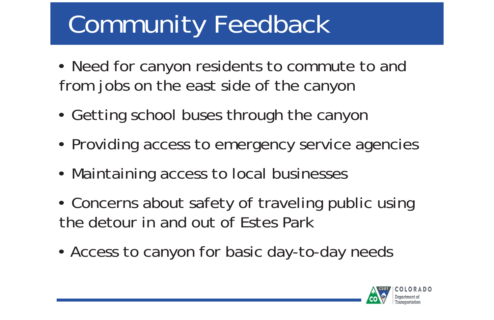# Community Feedback

- Need for canyon residents to commute to and from jobs on the east side of the canyon
- Getting school buses through the canyon
- Providing access to emergency service agencies
- Maintaining access to local businesses
- Concerns about safety of traveling public using the detour in and out of Estes Park
- Access to canyon for basic day-to-day needs

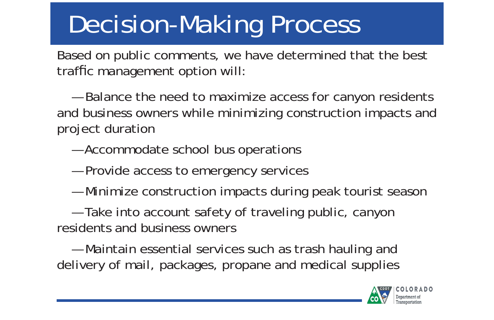# Decision-Making Process

Based on public comments, we have determined that the best traffic management option will

 — Balance the need to maximize access for canyon residents and business owners while minimizing construction impacts and project duration

- Accommodate school bus operations
- Provide access to emergency services
- Minimize construction impacts during peak tourist season

 — Take into account safety of traveling public, canyon residents and business owners

 — Maintain essential services such as trash hauling and delivery of mail, packages, propane and medical supplies

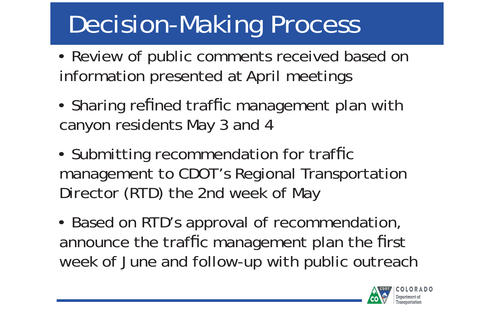## Decision-Making Process

- Review of public comments received based on information presented at April meetings
- Sharing refined traffic management plan with canyon residents May 3 and 4
- Submitting recommendation for traffic management to CDOT's Regional Transportation Director (RTD) the 2nd week of May
- Based on RTD's approval of recommendation, announce the traf fic management plan the first week of June and follow-up with public outreach